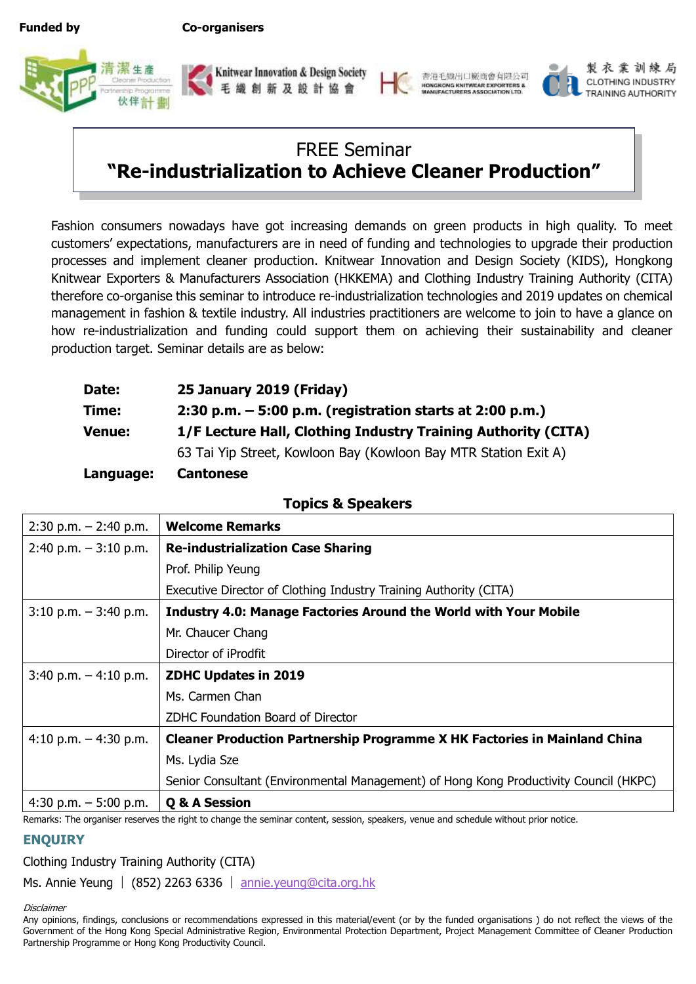**Funded by Co-organisers**









製衣業訓練局 CLOTHING INDUSTRY TRAINING AUTHORITY

### FREE Seminar **"Re-industrialization to Achieve Cleaner Production"**

Fashion consumers nowadays have got increasing demands on green products in high quality. To meet customers' expectations, manufacturers are in need of funding and technologies to upgrade their production processes and implement cleaner production. Knitwear Innovation and Design Society (KIDS), Hongkong Knitwear Exporters & Manufacturers Association (HKKEMA) and Clothing Industry Training Authority (CITA) therefore co-organise this seminar to introduce re-industrialization technologies and 2019 updates on chemical management in fashion & textile industry. All industries practitioners are welcome to join to have a glance on how re-industrialization and funding could support them on achieving their sustainability and cleaner production target. Seminar details are as below:

| <b>Date:</b> | 25 January 2019 (Friday)                                        |
|--------------|-----------------------------------------------------------------|
| Time:        | 2:30 p.m. $-5:00$ p.m. (registration starts at 2:00 p.m.)       |
| Venue:       | 1/F Lecture Hall, Clothing Industry Training Authority (CITA)   |
|              | 63 Tai Yip Street, Kowloon Bay (Kowloon Bay MTR Station Exit A) |
| Language:    | <b>Cantonese</b>                                                |

| $2:30$ p.m. $-2:40$ p.m. | <b>Welcome Remarks</b>                                                                |
|--------------------------|---------------------------------------------------------------------------------------|
| $2:40$ p.m. $-3:10$ p.m. | <b>Re-industrialization Case Sharing</b>                                              |
|                          | Prof. Philip Yeung                                                                    |
|                          | Executive Director of Clothing Industry Training Authority (CITA)                     |
| $3:10$ p.m. $-3:40$ p.m. | <b>Industry 4.0: Manage Factories Around the World with Your Mobile</b>               |
|                          | Mr. Chaucer Chang                                                                     |
|                          | Director of iProdfit                                                                  |
| $3:40$ p.m. $-4:10$ p.m. | <b>ZDHC Updates in 2019</b>                                                           |
|                          | Ms. Carmen Chan                                                                       |
|                          | ZDHC Foundation Board of Director                                                     |
| 4:10 p.m. $-$ 4:30 p.m.  | <b>Cleaner Production Partnership Programme X HK Factories in Mainland China</b>      |
|                          | Ms. Lydia Sze                                                                         |
|                          | Senior Consultant (Environmental Management) of Hong Kong Productivity Council (HKPC) |
| 4:30 p.m. $-5:00$ p.m.   | Q & A Session                                                                         |

**Topics & Speakers**

Remarks: The organiser reserves the right to change the seminar content, session, speakers, venue and schedule without prior notice.

### **ENQUIRY**

Clothing Industry Training Authority (CITA)

Ms. Annie Yeung | (852) 2263 6336 | [annie.yeung@cita.org.hk](mailto:annie.yeung@cita.org.hk)

**Disclaimer** 

Any opinions, findings, conclusions or recommendations expressed in this material/event (or by the funded organisations ) do not reflect the views of the Government of the Hong Kong Special Administrative Region, Environmental Protection Department, Project Management Committee of Cleaner Production Partnership Programme or Hong Kong Productivity Council.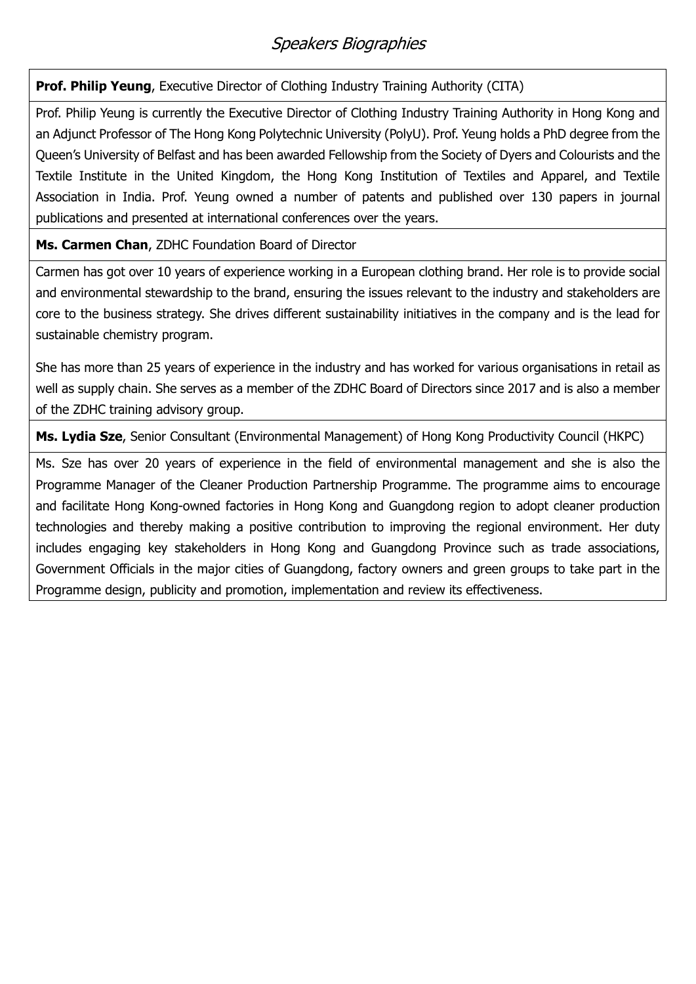### Speakers Biographies

**Prof. Philip Yeung**, Executive Director of Clothing Industry Training Authority (CITA)

Prof. Philip Yeung is currently the Executive Director of Clothing Industry Training Authority in Hong Kong and an Adjunct Professor of The Hong Kong Polytechnic University (PolyU). Prof. Yeung holds a PhD degree from the Queen's University of Belfast and has been awarded Fellowship from the Society of Dyers and Colourists and the Textile Institute in the United Kingdom, the Hong Kong Institution of Textiles and Apparel, and Textile Association in India. Prof. Yeung owned a number of patents and published over 130 papers in journal publications and presented at international conferences over the years.

**Ms. Carmen Chan**, ZDHC Foundation Board of Director

Carmen has got over 10 years of experience working in a European clothing brand. Her role is to provide social and environmental stewardship to the brand, ensuring the issues relevant to the industry and stakeholders are core to the business strategy. She drives different sustainability initiatives in the company and is the lead for sustainable chemistry program.

She has more than 25 years of experience in the industry and has worked for various organisations in retail as well as supply chain. She serves as a member of the ZDHC Board of Directors since 2017 and is also a member of the ZDHC training advisory group.

**Ms. Lydia Sze**, Senior Consultant (Environmental Management) of Hong Kong Productivity Council (HKPC)

Ms. Sze has over 20 years of experience in the field of environmental management and she is also the Programme Manager of the Cleaner Production Partnership Programme. The programme aims to encourage and facilitate Hong Kong-owned factories in Hong Kong and Guangdong region to adopt cleaner production technologies and thereby making a positive contribution to improving the regional environment. Her duty includes engaging key stakeholders in Hong Kong and Guangdong Province such as trade associations, Government Officials in the major cities of Guangdong, factory owners and green groups to take part in the Programme design, publicity and promotion, implementation and review its effectiveness.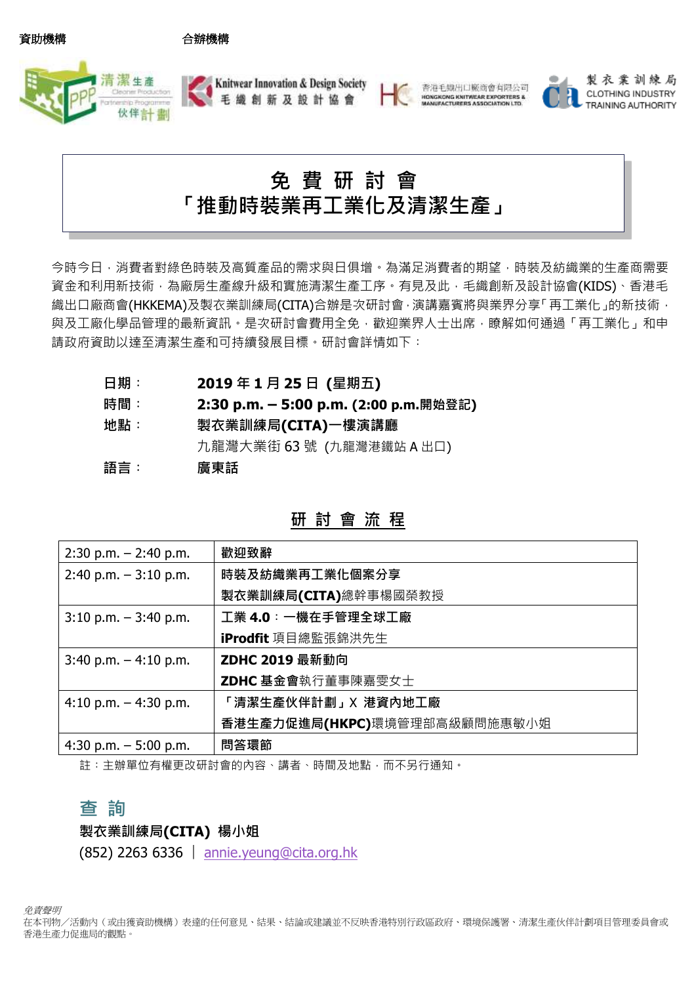資助機構 合辦機構







製衣業訓練局 CLOTHING INDUSTRY **TRAINING AUTHORITY** 

# 免 費 研 討 會 「推動時裝業再工業化及清潔生產」

今時今日,消費者對綠色時裝及高質產品的需求與日俱增。為滿足消費者的期望,時裝及紡織業的生產商需要 資金和利用新技術,為廠房生產線升級和實施清潔生產工序。有見及此,毛織創新及設計協會(KIDS)、香港毛 織出口廠商會(HKKEMA)及製衣業訓練局(CITA)合辦是次研討會,演講嘉賓將與業界分享「再工業化」的新技術, 與及工廠化學品管理的最新資訊。是次研討會費用全免,歡迎業界人士出席,瞭解如何通過「再工業化」和申 請政府資助以達至清潔生產和可持續發展目標。研討會詳情如下:

- 日期︰ **2019** 年 **1** 月 **25** 日 **(**星期五**)**
- 時間︰ **2:30 p.m. – 5:00 p.m. (2:00 p.m.**開始登記**)**
- 地點︰ 製衣業訓練局**(CITA)**一樓演講廳 九龍灣大業街 63 號 (九龍灣港鐵站 A 出口) 語言︰ 廣東話

| $2:30$ p.m. $-2:40$ p.m. | 歡迎致辭                         |
|--------------------------|------------------------------|
| $2:40$ p.m. $-3:10$ p.m. | 時裝及紡織業再工業化個案分享               |
|                          | 製衣業訓練局(CITA)總幹事楊國榮教授         |
| $3:10$ p.m. $-3:40$ p.m. | 工業 4.0: 一機在手管理全球工廠           |
|                          | iProdfit 項目總監張錦洪先生           |
| $3:40$ p.m. $-4:10$ p.m. | ZDHC 2019 最新動向               |
|                          | ZDHC 基金會執行董事陳嘉雯女士            |
| 4:10 p.m. $-$ 4:30 p.m.  | 「清潔生產伙伴計劃」X 港資內地工廠           |
|                          | 香港生產力促進局(HKPC)環境管理部高級顧問施惠敏小姐 |
| 4:30 p.m. $-5:00$ p.m.   | 問答環節                         |
|                          |                              |

#### 研 討 會 流 程

註︰主辦單位有權更改研討會的內容、講者、時間及地點,而不另行通知。

#### 查 詢

#### 製衣業訓練局**(CITA)** 楊小姐

(852) 2263 6336 ︳[annie.yeung@cita.org.hk](mailto:annie.yeung@cita.org.hk)